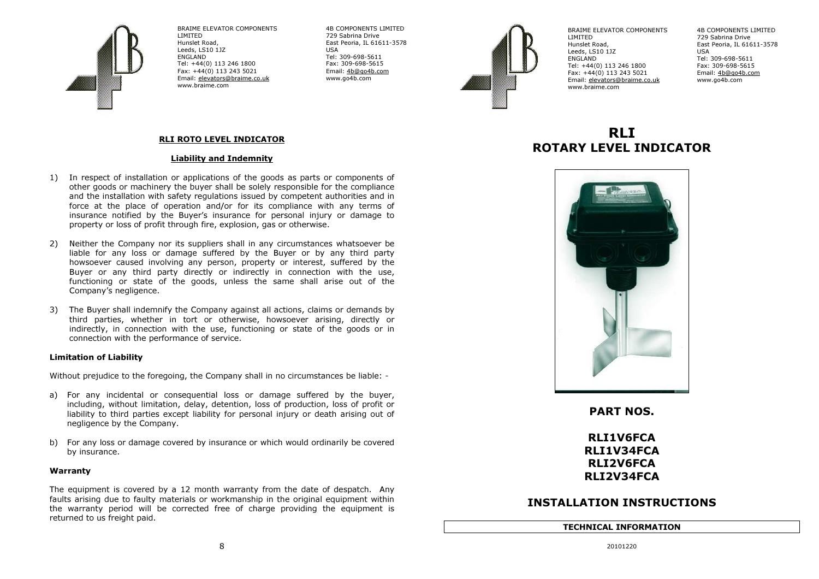

BRAIME ELEVATOR COMPONENTS LIMITED Hunslet Road, Leeds, LS10 1JZ ENGLAND Tel: +44(0) 113 246 1800 Fax: +44(0) 113 243 5021 Email: elevators@braime.co.uk www.braime.com

 4B COMPONENTS LIMITED 729 Sabrina Drive East Peoria, IL 61611-3578 USA Tel: 309-698-5611 Fax: 309-698-5615 Email: 4b@go4b.com www.go4b.com



BRAIME ELEVATOR COMPONENTS LIMITED Hunslet Road, Leeds, LS10 1JZ ENGLAND Tel: +44(0) 113 246 1800 Fax: +44(0) 113 243 5021 Email: elevators@braime.co.ukwww.braime.com

 4B COMPONENTS LIMITED 729 Sabrina Drive East Peoria, IL 61611-3578 USA Tel: 309-698-5611 Fax: 309-698-5615 Email: <u>4b@go4b.com</u> www.go4b.com

#### RLI ROTO LEVEL INDICATOR

#### Liability and Indemnity

- 1) In respect of installation or applications of the goods as parts or components of other goods or machinery the buyer shall be solely responsible for the compliance and the installation with safety regulations issued by competent authorities and in force at the place of operation and/or for its compliance with any terms of insurance notified by the Buyer's insurance for personal injury or damage to property or loss of profit through fire, explosion, gas or otherwise.
- 2) Neither the Company nor its suppliers shall in any circumstances whatsoever be liable for any loss or damage suffered by the Buyer or by any third party howsoever caused involving any person, property or interest, suffered by the Buyer or any third party directly or indirectly in connection with the use, functioning or state of the goods, unless the same shall arise out of the Company's negligence.
- 3) The Buyer shall indemnify the Company against all actions, claims or demands by third parties, whether in tort or otherwise, howsoever arising, directly or indirectly, in connection with the use, functioning or state of the goods or in connection with the performance of service.

#### Limitation of Liability

Without prejudice to the foregoing, the Company shall in no circumstances be liable: -

- a) For any incidental or consequential loss or damage suffered by the buyer, including, without limitation, delay, detention, loss of production, loss of profit or liability to third parties except liability for personal injury or death arising out of negligence by the Company.
- b) For any loss or damage covered by insurance or which would ordinarily be covered by insurance.

#### Warranty

The equipment is covered by a 12 month warranty from the date of despatch. Any faults arising due to faulty materials or workmanship in the original equipment within the warranty period will be corrected free of charge providing the equipment isreturned to us freight paid.

# RI<sub>I</sub> ROTARY LEVEL INDICATOR



PART NOS.

## RLI1V6FCA RLI1V34FCA RLI2V6FCA RLI2V34FCA

## INSTALLATION INSTRUCTIONS

#### TECHNICAL INFORMATION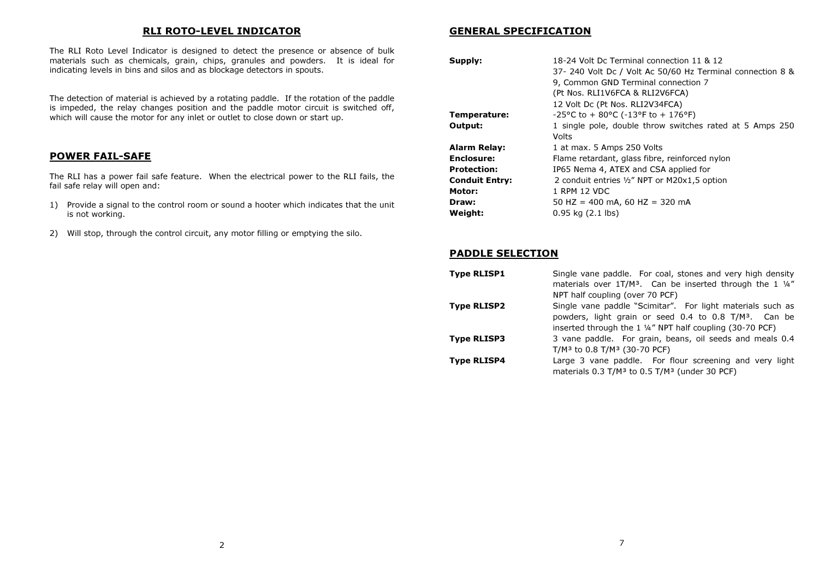#### RLI ROTO-LEVEL INDICATOR

The RLI Roto Level Indicator is designed to detect the presence or absence of bulk materials such as chemicals, grain, chips, granules and powders. It is ideal for indicating levels in bins and silos and as blockage detectors in spouts.

The detection of material is achieved by a rotating paddle. If the rotation of the paddle is impeded, the relay changes position and the paddle motor circuit is switched off, which will cause the motor for any inlet or outlet to close down or start up.

## POWER FAIL-SAFE

The RLI has a power fail safe feature. When the electrical power to the RLI fails, the fail safe relay will open and:

- 1) Provide a signal to the control room or sound a hooter which indicates that the unit is not working.
- 2) Will stop, through the control circuit, any motor filling or emptying the silo.

#### GENERAL SPECIFICATION

| Supply:               | 18-24 Volt Dc Terminal connection 11 & 12                                     |
|-----------------------|-------------------------------------------------------------------------------|
|                       | 37- 240 Volt Dc / Volt Ac 50/60 Hz Terminal connection 8 &                    |
|                       | 9, Common GND Terminal connection 7                                           |
|                       | (Pt Nos. RLI1V6FCA & RLI2V6FCA)                                               |
|                       | 12 Volt Dc (Pt Nos. RLI2V34FCA)                                               |
| Temperature:          | $-25^{\circ}$ C to + 80 $^{\circ}$ C ( $-13^{\circ}$ F to + 176 $^{\circ}$ F) |
| Output:               | 1 single pole, double throw switches rated at 5 Amps 250                      |
|                       | Volts                                                                         |
| <b>Alarm Relay:</b>   | 1 at max. 5 Amps 250 Volts                                                    |
| <b>Enclosure:</b>     | Flame retardant, glass fibre, reinforced nylon                                |
| <b>Protection:</b>    | IP65 Nema 4, ATEX and CSA applied for                                         |
| <b>Conduit Entry:</b> | 2 conduit entries 1/2" NPT or M20x1,5 option                                  |
| Motor:                | 1 RPM 12 VDC                                                                  |
| Draw:                 | 50 HZ = 400 mA, 60 HZ = 320 mA                                                |
| Weight:               | $0.95$ kg $(2.1$ lbs)                                                         |

#### PADDLE SELECTION

| <b>Type RLISP1</b> | Single vane paddle. For coal, stones and very high density<br>materials over 1T/M <sup>3</sup> . Can be inserted through the 1 1/4"<br>NPT half coupling (over 70 PCF)                                  |
|--------------------|---------------------------------------------------------------------------------------------------------------------------------------------------------------------------------------------------------|
| <b>Type RLISP2</b> | Single vane paddle "Scimitar". For light materials such as<br>powders, light grain or seed 0.4 to 0.8 T/M <sup>3</sup> . Can be<br>inserted through the 1 $\frac{1}{4}$ " NPT half coupling (30-70 PCF) |
| <b>Type RLISP3</b> | 3 vane paddle. For grain, beans, oil seeds and meals 0.4<br>T/M <sup>3</sup> to 0.8 T/M <sup>3</sup> (30-70 PCF)                                                                                        |
| <b>Type RLISP4</b> | Large 3 vane paddle. For flour screening and very light<br>materials $0.3$ T/M <sup>3</sup> to $0.5$ T/M <sup>3</sup> (under 30 PCF)                                                                    |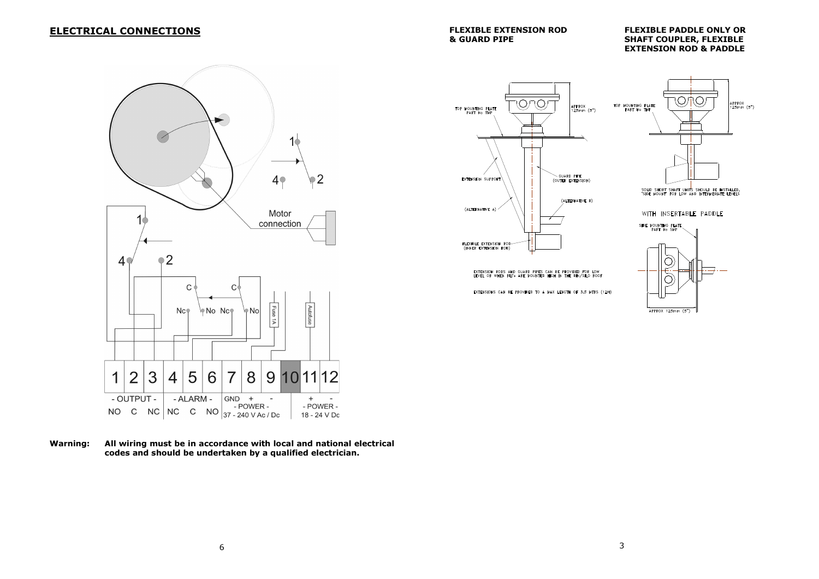## ELECTRICAL CONNECTIONS

FLEXIBLE EXTENSION ROD FLEXIBLE PADDLE ONLY OR & GUARD PIPE SHAFT COUPLER, FLEXIBLE EXTENSION ROD & PADDLE



Warning: All wiring must be in accordance with local and national electrical codes and should be undertaken by a qualified electrician.



EXTENSION RODS AND GUARD PIPES CAN **PROVIDED FOR LOW** 

EXTENSIONS CAN BE PROVIDED TO A MAX LENGTH OF 3.5 MTRS (12ff)